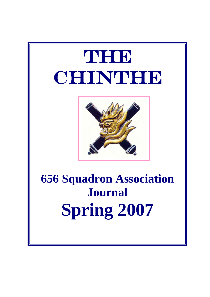# The The CHINTHE



## **656 Squadron Association Journal Spring 2007**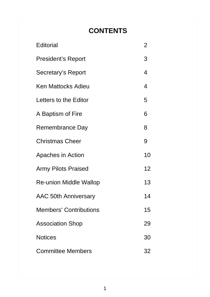## **CONTENTS**

| Editorial                     | 2  |
|-------------------------------|----|
| <b>President's Report</b>     | 3  |
| Secretary's Report            | 4  |
| <b>Ken Mattocks Adieu</b>     | 4  |
| Letters to the Editor         | 5  |
| A Baptism of Fire             | 6  |
| Remembrance Day               | 8  |
| <b>Christmas Cheer</b>        | 9  |
| Apaches in Action             | 10 |
| <b>Army Pilots Praised</b>    | 12 |
| <b>Re-union Middle Wallop</b> | 13 |
| AAC 50th Anniversary          | 14 |
| <b>Members' Contributions</b> | 15 |
| <b>Association Shop</b>       | 29 |
| <b>Notices</b>                | 30 |
| <b>Committee Members</b>      | 32 |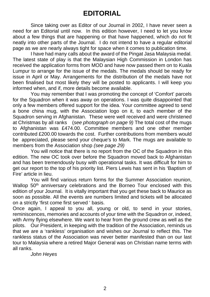Since taking over as Editor of our Journal in 2002, I have never seen a need for an Editorial until now. In this edition however, I need to let you know about a few things that are happening or that have happened, which do not fit neatly into other parts of the Journal. I do not intend to have a regular editorial page as we are nearly always tight for space when it comes to publication time.

I have had many calls about the award of the Pingat Jasa Malaysia medal. The latest state of play is that the Malaysian High Commission in London has received the application forms from MOD and have now passed them on to Kuala Lumpur to arrange for the issue of the medals. The medals should be ready for issue in April or May. Arrangements for the distribution of the medals have not been finalised but most likely they will be posted to applicants. I will keep you informed when, and if, more details become available.

You may remember that I was promoting the concept of 'Comfort' parcels for the Squadron when it was away on operations. I was quite disappointed that only a few members offered support for the idea. Your committee agreed to send a bone china mug, with the Association logo on it, to each member of the Squadron serving in Afghanistan. These were well received and were christened at Christmas by all ranks (*see photograph on page 9)* The total cost of the mugs to Afghanistan was £474.00. Committee members and one other member contributed £200.00 towards the cost. Further contributions from members would be appreciated, please send your cheque's to Mark. The mugs are available to members from the Association shop *(see page 29)*

You will notice that there is no report from the OC of the Squadron in this edition. The new OC took over before the Squadron moved back to Afghanistan and has been tremendously busy with operational tasks. It was difficult for him to get our report to the top of his priority list. Piers Lewis has sent in his 'Baptism of Fire' article in lieu.

You will find various return forms for the Summer Association reunion, Wallop 50<sup>th</sup> anniversary celebrations and the Borneo Tour enclosed with this edition of your Journal. It is vitally important that you get these back to Maurice as soon as possible. All the events are numbers limited and tickets will be allocated on a strictly 'first come first served ' basis.

Once again, I appeal to you all, young or old, to send in your stories, reminiscences, memories and accounts of your time with the Squadron or, indeed, with Army flying elsewhere. We want to hear from the ground crew as well as the pilots. Our President, in keeping with the tradition of the Association, reminds us that we are a 'rankless' organisation and wishes our Journal to reflect this. The rankless status of the Association was never better manifested than on our last tour to Malaysia where a retired Major General was on Christian name terms with all ranks.

*John Heyes*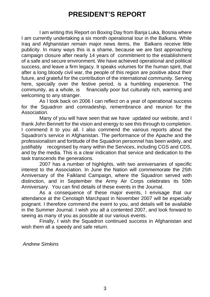## **PRESIDENT'S REPORT**

 I am writing this Report on Boxing Day from Banja Luka, Bosnia where I am currently undertaking a six month operational tour in the Balkans. While Iraq and Afghanistan remain major news items, the Balkans receive little publicity. In many ways this is a shame, because we are fast approaching campaign closure after nearly 14 years of commitment to the establishment of a safe and secure environment. We have achieved operational and political success, and leave a firm legacy. It speaks volumes for the human spirit, that after a long bloody civil war, the people of this region are positive about their future, and grateful for the contribution of the international community. Serving here, specially over the festive period, is a humbling experience. The community, as a whole, is financially poor but culturally rich, warming and welcoming to any stranger.

 As I look back on 2006 I can reflect on a year of operational success for the Squadron and comradeship, remembrance and reunion for the Association.

 Many of you will have seen that we have updated our website, and I thank John Bennett for the vision and energy to see this through to completion. I commend it to you all. I also commend the various reports about the Squadron's service in Afghanistan. The performance of the Apache and the professionalism and fortitude of the Squadron personnel has been widely, and justifiably recognised by many within the Services, including CGS and CDS, and by the media. This is a clear indication that service and dedication to the task transcends the generations.

 2007 has a number of highlights, with two anniversaries of specific interest to the Association. In June the Nation will commemorate the 25th Anniversary of the Falkland Campaign, where the Squadron served with distinction, and in September the Army Air Corps celebrates its 50th Anniversary. You can find details of these events in the Journal.

 As a consequence of these major events, I envisage that our attendance at the Cenotaph Marchpast in November 2007 will be especially poignant. I therefore commend the event to you, and details will be available in the Summer Journal. I wish you all a contented 2007, and look forward to seeing as many of you as possible at our various events.

 Finally, I wish the Squadron continued success in Afghanistan and wish them all a speedy and safe return.

*Andrew Simkins*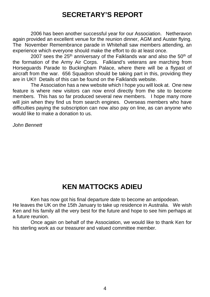## **SECRETARY'S REPORT**

 2006 has been another successful year for our Association. Netheravon again provided an excellent venue for the reunion dinner, AGM and Auster flying. The November Remembrance parade in Whitehall saw members attending, an experience which everyone should make the effort to do at least once.

2007 sees the  $25<sup>th</sup>$  anniversary of the Falklands war and also the  $50<sup>th</sup>$  of the formation of the Army Air Corps. Falkland's veterans are marching from Horseguards Parade to Buckingham Palace, where there will be a flypast of aircraft from the war. 656 Squadron should be taking part in this, providing they are in UK!! Details of this can be found on the Falklands website.

 The Association has a new website which I hope you will look at. One new feature is where new visitors can now enrol directly from the site to become members. This has so far produced several new members. I hope many more will join when they find us from search engines. Overseas members who have difficulties paying the subscription can now also pay on line, as can anyone who would like to make a donation to us.

*John Bennett*

## **KEN MATTOCKS ADIEU**

Ken has now got his final departure date to become an antipodean. He leaves the UK on the 15th January to take up residence in Australia. We wish Ken and his family all the very best for the future and hope to see him perhaps at a future reunion.

 Once again on behalf of the Association, we would like to thank Ken for his sterling work as our treasurer and valued committee member.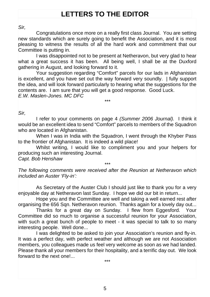## **LETTERS TO THE EDITOR**

*Sir,*

 Congratulations once more on a really first class Journal. You are setting new standards which are surely going to benefit the Association, and it is most pleasing to witness the results of all the hard work and commitment that our Committee is putting in.

 I was disappointed not to be present at Netheravon, but very glad to hear what a great success it has been. All being well, I shall be at the Duxford gathering in August, and looking forward to it.

 Your suggestion regarding "Comfort" parcels for our lads in Afghanistan is excellent, and you have set out the way forward very soundly. | fully support the idea, and will look forward particularly to hearing what the suggestions for the contents are. I am sure that you will get a good response. Good Luck. *E.W. Maslen-Jones. MC DFC*

*\*\*\**

*Sir,*

I refer to your comments on page 4 *(Summer 2006 Journal).* I think it would be an excellent idea to send "Comfort" parcels to members of the Squadron who are located in Afghanistan.

 When I was in India with the Squadron, I went through the Khyber Pass to the frontier of Afghanistan. It is indeed a wild place!

 Whilst writing, I would like to compliment you and your helpers for producing such an interesting Journal.

*Capt. Bob Henshaw*

*\*\*\* The following comments were received after the Reunion at Netheravon which included an Auster 'Fly-in':*

 As Secretary of the Auster Club I should just like to thank you for a very enjoyable day at Netheravon last Sunday. I hope we did our bit in return...

 Hope you and the Committee are well and taking a well earned rest after organising the 656 Sqn. Netheravon reunion. Thanks again for a lovely day out...

 Thanks for a great day on Sunday. I flew from Eggesford. Your Committee did so much to organise a successful reunion for your Association, with such a great bunch of people to meet - it was special to talk to so many interesting people. Well done...

 I was delighted to be asked to join your Association's reunion and fly-in. It was a perfect day, with perfect weather and although we are not Association members, you colleagues made us feel very welcome as soon as we had landed. Please thank all your members for their hospitality, and a terrific day out. We look forward to the next one! \*\*\*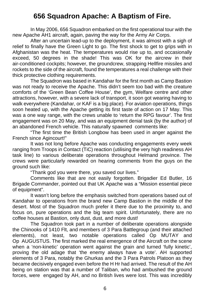## **656 Squadron Apache: A Baptism of Fire.**

In May 2006, 656 Squadron embarked on the first operational tour with the new Apache AH1 aircraft, again, paving the way for the Army Air Corps.

After an uncertain lead-up to the deployment, it was almost with a sigh of relief to finally have the Green Light to go. The first shock to get to grips with in Afghanistan was the heat. The temperatures would rise up to, and occasionally exceed, 50 degrees in the shade! This was OK for the aircrew in their air-conditioned cockpits; however, the groundcrew, strapping Hellfire missiles and rockets to the side of the aircraft, found the temperatures a real challenge with their thick protective clothing requirements.

The Squadron was based in Kandahar for the first month as Camp Bastion was not ready to receive the Apache. This didn't seem too bad with the creature comforts of the 'Green Bean Coffee House', the gym, Welfare centre and other attractions, however, with a severe lack of transport, it soon got wearing having to walk everywhere (Kandahar, or KAF is a big place). For aviation operations, things soon heated up, with the Apache getting its first taste of action on 17 May. This was a one way range, with the crews unable to 'return the RPG favour'. The first engagement was on 20 May, and was an equipment denial task (by the author) of an abandoned French vehicle. This naturally spawned comments like:

"The first time the British Longbow has been used in anger against the French since Agincourt!"

It was not long before Apache was conducting engagements every week ranging from Troops in Contact (TiC) reaction (utilising the very high readiness AH task line) to various deliberate operations throughout Helmand province. The crews were particularly rewarded on hearing comments from the guys on the ground such like:

"Thank god you were there, you saved our lives."

Comments like that are not easily forgotten. Brigadier Ed Butler, 16 Brigade Commander, pointed out that UK Apache was a "Mission essential piece of equipment".

It wasn't long before the emphasis switched from operations based out of Kandahar to operations from the brand new Camp Bastion in the middle of the desert. Most of the Squadron much prefer it there due to the proximity to, and focus on, pure operations and the big team spirit. Unfortunately, there are no coffee houses at Bastion, only dust, dust, and more dust!

The Squadron took part in a number of deliberate operations alongside the Chinooks of 1410 Flt, and members of 3 Para Battlegroup (and their attached elements), not least, two notable operations called Op MUTAY and Op AUGUSTUS. The first marked the real emergence of the Aircraft on the scene when a 'non-kinetic' operation went against the grain and turned 'fully kinetic', proving the old adage that 'the enemy always have a vote'. AH supported elements of 3 Para, notably the Ghurkas and the 3 Para Patrols Platoon as they became decisively engaged even before the H Hr had arrived. The result of the AH being on station was that a number of Taliban, who had ambushed the ground forces, were engaged by AH, and no British lives were lost. This was incredibly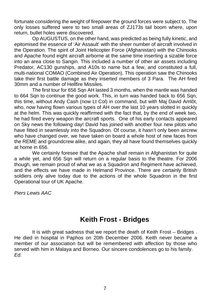fortunate considering the weight of firepower the ground forces were subject to. The only losses suffered were to two small areas of ZJ173s tail boom where, upon return, bullet holes were discovered.

Op AUGUSTUS, on the other hand, was predicted as being fully kinetic, and epitomised the essence of 'Air Assault' with the sheer number of aircraft involved in the Operation. The spirit of Joint Helicopter Force (Afghanistan) with the Chinooks and Apache found eight aircraft airborne at the same time inserting a sizable force into an area close to Sangin. This included a number of other air assets including Predator, AC130 gunships, and A10s to name but a few, and constituted a full, multi-national COMAO (Combined Air Operation). This operation saw the Chinooks take their first battle damage as they inserted members of 3 Para. The AH fired 30mm and a number of Hellfire Missiles.

The first tour for 656 Sqn AH lasted 3 months, when the mantle was handed to 664 Sqn to continue the good work. This, in turn was handed back to 656 Sqn, this time, without Andy Cash (now Lt Col) in command, but with Maj David Amlôt, who, now having flown various types of AH over the last 10 years slotted in quickly at the helm. This was quickly reaffirmed with the fact that, by the end of week two, he had fired every weapon the aircraft sports. One of his early contacts appeared on Sky news the following day! David has joined with another four new pilots who have fitted in seamlessly into the Squadron. Of course, it hasn't only been aircrew who have changed over, we have taken on board a whole host of new faces from the REME and groundcrew alike, and again, they all have found themselves quickly at home in 656.

We certainly foresee that the Apache shall remain in Afghanistan for quite a while yet, and 656 Sqn will return on a regular basis to the theatre. For 2006 though, we remain proud of what we as a Squadron and Regiment have achieved, and the effects we have made in Helmand Province. There are certainly British soldiers only alive today due to the actions of the whole Squadron in the first Operational tour of UK Apache.

*Piers Lewis AAC*

## **Keith Frost - Bridges**

It is with great sadness that we report the death of Keith Frost – Bridges . He died in hospital in Paphos on 20th December 2006. Keith never became a member of our association but will be remembered with affection by those who served with him in Malaya and Borneo. Our sincere condolences go to his family. *Ed.*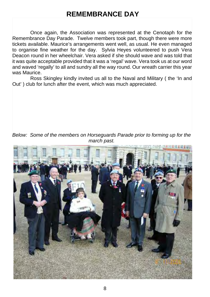## **REMEMBRANCE DAY**

Once again, the Association was represented at the Cenotaph for the Remembrance Day Parade. Twelve members took part, though there were more tickets available. Maurice's arrangements went well, as usual. He even managed to organise fine weather for the day. Sylvia Heyes volunteered to push Vera Deacon round in her wheelchair. Vera asked if she should wave and was told that it was quite acceptable provided that it was a 'regal' wave. Vera took us at our word and waved 'regally' to all and sundry all the way round. Our wreath carrier this year was Maurice.

Ross Skingley kindly invited us all to the Naval and Military ( the 'In and Out' ) club for lunch after the event, which was much appreciated.

*Below: Some of the members on Horseguards Parade prior to forming up for the march past.*

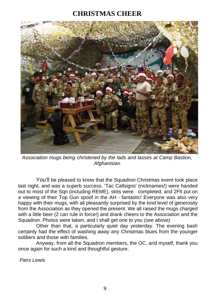## **CHRISTMAS CHEER**



*Association mugs being christened by the lads and lasses at Camp Bastion, Afghanistan*

 You'll be pleased to know that the Squadron Christmas event took place last night, and was a superb success. 'Tac Callsigns' (nicknames!) were handed out to most of the Sqn (including REME), skits were completed, and 2Flt put on a viewing of their Top Gun spoof in the AH - fantastic! Everyone was also very happy with their mugs, with all pleasantly surprised by the kind level of generosity from the Association as they opened the present. We all raised the mugs charged with a little beer (2 can rule in force!) and drank cheers to the Association and the Squadron. Photos were taken, and I shall get one to you *(see above)*

 Other than that, a particularly quiet day yesterday. The evening bash certainly had the effect of washing away any Christmas blues from the younger soldiers and those with families.

 Anyway, from all the Squadron members, the OC, and myself, thank you once again for such a kind and thoughtful gesture.

 *Piers Lewis*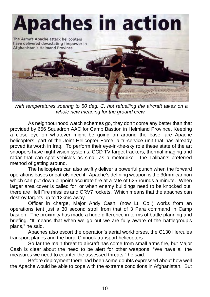

*With temperatures soaring to 50 deg. C, hot refuelling the aircraft takes on a whole new meaning for the ground crew.*

 As neighbourhood watch schemes go, they don't come any better than that provided by 656 Squadron AAC for Camp Bastion in Helmland Province. Keeping a close eye on whatever might be going on around the base, are Apache helicopters; part of the Joint Helicopter Force, a tri-service unit that has already proved its worth in Iraq. To perform their eye-in-the-sky role these state of the art snoopers have night vision systems, CCD TV target trackers, thermal imaging and radar that can spot vehicles as small as a motorbike - the Taliban's preferred method of getting around.

 The helicopters can also swiftly deliver a powerful punch when the forward operations bases or patrols need it. Apache's defining weapon is the 30mm cannon which can put down pinpoint accurate fire at a rate of 625 rounds a minute. When larger area cover is called for, or when enemy buildings need to be knocked out, there are Hell Fire missiles and CRV7 rockets. Which means that the apaches can destroy targets up to 12kms away.

 Officer in charge, Major Andy Cash, (now Lt. Col.) works from an operations tent just a 30 second stroll from that of 3 Para command in Camp bastion. The proximity has made a huge difference in terms of battle planning and briefing. "It means that when we go out we are fully aware of the battlegroup's plans," he said.

 Apaches also escort the operation's aerial workhorses, the C130 Hercules transport planes and the huge Chinook transport helicopters.

 So far the main threat to aircraft has come from small arms fire, but Major Cash is clear about the need to be alert for other weapons, "We have all the measures we need to counter the assessed threats," he said.

 Before deployment there had been some doubts expressed about how well the Apache would be able to cope with the extreme conditions in Afghanistan. But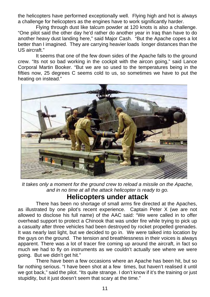the helicopters have performed exceptionally well. Flying high and hot is always a challenge for helicopters as the engines have to work significantly harder.

 Flying through dust like talcum powder at 120 knots is also a challenge. "One pilot said the other day he'd rather do another year in Iraq than have to do another heavy dust landing here," said Major Cash. "But the Apache copes a lot better than I imagined. They are carrying heavier loads longer distances than the US aircraft."

 It seems that one of the few down sides of the Apache falls to the ground crew. "Its not so bad working in the cockpit with the aircon going," said Lance Corporal Martin Booker. "But we are so used to the temperatures being in the fifties now, 25 degrees C seems cold to us, so sometimes we have to put the heating on instead."



*It takes only a moment for the ground crew to reload a missile on the Apache, and in no time at all the attack helicopter is ready to go.*

## **Helicopters under attack**

There has been no shortage of small arms fire directed at the Apaches. as illustrated by one pilot's recent experience. Captain Peter X (we are not allowed to disclose his full name) of the AAC said: "We were called in to offer overhead support to protect a Chinook that was under fire while trying to pick up a casualty after three vehicles had been destroyed by rocket propelled grenades. It was nearly last light, but we decided to go in. We were talked into location by the guys on the ground. The tension and breathlessness in their voices is always apparent. There was a lot of tracer fire coming up around the aircraft, in fact so much we had to fly on instruments as we couldn't actually see where we were going. But we didn't get hit."

 There have been a few occasions where an Apache has been hit, but so far nothing serious. "I have been shot at a few times, but haven't realised it until we got back," said the pilot. "Its quite strange. I don't know if it's the training or just stupidity, but it just doesn't seem that scary at the time."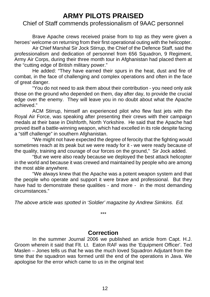## **ARMY PILOTS PRAISED**

#### Chief of Staff commends professionalism of 9AAC personnel

 Brave Apache crews received praise from to top as they were given a heroes' welcome on returning from their first operational outing with the helicopter.

 Air Chief Marshal Sir Jock Stirrup, the Chief of the Defence Staff, said the professionalism and dedication of personnel from 656 Squadron, 9 Regiment, Army Air Corps, during their three month tour in Afghanistan had placed them at the "cutting edge of British military power."

 He added: "They have earned their spurs in the heat, dust and fire of combat, in the face of challenging and complex operations and often in the face of great danger.

 "You do not need to ask them about their contribution - you need only ask those on the ground who depended on them, day after day, to provide the crucial edge over the enemy. They will leave you in no doubt about what the Apache achieved."

 ACM Stirrup, himself an experienced pilot who flew fast jets with the Royal Air Force, was speaking after presenting their crews with their campaign medals at their base in Dishforth, North Yorkshire. He said that the Apache had proved itself a battle-winning weapon, which had excelled in its role despite facing a "stiff challenge" in southern Afghanistan.

 "We might not have expected the degree of ferocity that the fighting would sometimes reach at its peak but we were ready for it - we were ready because of the quality, training and courage of our forces on the ground," Sir Jock added.

 "But we were also ready because we deployed the best attack helicopter in the world and because it was crewed and maintained by people who are among the most able anywhere.

 "We always knew that the Apache was a potent weapon system and that the people who operate and support it were brave and professional. But they have had to demonstrate these qualities - and more - in the most demanding circumstances."

*The above article was spotted in 'Soldier' magazine by Andrew Simkins. Ed.*

#### **Correction**

*\*\*\**

 In the summer Journal 2006 we published an article from Capt. H.J. Groom wherein it said that Flt. Lt. Eaton RAF was the 'Equipment Officer'. Ted Maslen – Jones tells us that he was the much loved Squadron Adjutant from the time that the squadron was formed until the end of the operations in Java. We apologise for the error which came to us in the original text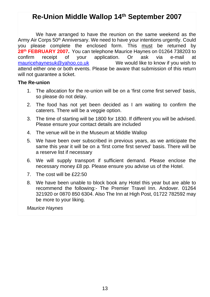## **Re-Union Middle Wallop 14th September 2007**

 We have arranged to have the reunion on the same weekend as the Army Air Corps 50<sup>th</sup> Anniversary. We need to have your intentions urgently. Could you please complete the enclosed form. This must be returned by **28<sup>th</sup> FEBRUARY 2007.** You can telephone Maurice Haynes on 01264 738203 to confirm receipt of your application. Or ask via e-mail at confirm receipt of your application. Or ask via e-mail at maurice haynesuk@vahoo.co.uk We would like to know if you wish to We would like to know if you wish to attend either one or both events. Please be aware that submission of this return will not quarantee a ticket.

#### **The Re-union**

- 1. The allocation for the re-union will be on a 'first come first served' basis, so please do not delay.
- 2. The food has not yet been decided as I am waiting to confirm the caterers. There will be a veggie option.
- 3. The time of starting will be 1800 for 1830. If different you will be advised. Please ensure your contact details are included
- 4. The venue will be in the Museum at Middle Wallop
- 5. We have been over subscribed in previous years, as we anticipate the same this year it will be on a 'first come first served' basis. There will be a reserve list if necessary
- 6. We will supply transport if sufficient demand. Please enclose the necessary money £8 pp. Please ensure you advise us of the Hotel.
- 7. The cost will be £22:50
- 8. We have been unable to block book any Hotel this year but are able to recommend the following:- The Premier Travel Inn. Andover. 01264 321920 or 0870 850 6304. Also The Inn at High Post, 01722 782592 may be more to your liking.

*Maurice Haynes*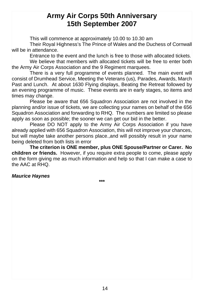## **Army Air Corps 50th Anniversary 15th September 2007**

This will commence at approximately 10.00 to 10.30 am

 Their Royal Highness's The Prince of Wales and the Duchess of Cornwall will be in attendance.

Entrance to the event and the lunch is free to those with allocated tickets.

 We believe that members with allocated tickets will be free to enter both the Army Air Corps Association and the 9 Regiment marquees.

 There is a very full programme of events planned. The main event will consist of Drumhead Service, Meeting the Veterans (us), Parades, Awards, March Past and Lunch. At about 1630 Flying displays, Beating the Retreat followed by an evening programme of music. These events are in early stages, so items and times may change.

 Please be aware that 656 Squadron Association are not involved in the planning and/or issue of tickets, we are collecting your names on behalf of the 656 Squadron Association and forwarding to RHQ. The numbers are limited so please apply as soon as possible; the sooner we can get our bid in the better.

Please DO NOT apply to the Army Air Corps Association if you have already applied with 656 Squadron Association, this will not improve your chances, but will maybe take another persons place.,and will possibly result in your name being deleted from both lists in error

**The criterion is ONE member, plus ONE Spouse/Partner or Carer. No children or friends.** However, if you require extra people to come, please apply on the form giving me as much information and help so that I can make a case to the AAC at RHO

#### *Maurice Haynes*

**\*\*\***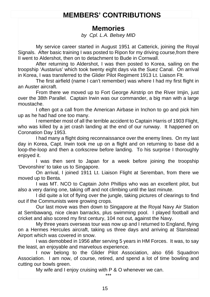## **MEMBERS' CONTRIBUTIONS**

## **Memories**

*by Cpl. L.A. Belsey MID*

 My service career started in August 1951 at Catterick, joining the Royal Signals. After basic training I was posted to Ripon for my driving course,from there II went to Aldershot, then on to detachment to Bude in Cornwall.

 After returning to Aldershot, I was then posted to Korea, sailing on the troopship 'Austarius' which took twenty eight days via the Suez Canal. On arrival in Korea, I was transferred to the Glider Pilot Regiment 1913 Lt. Liaison Flt.

 The first airfield (name I can't remember) was where I had my first flight in an Auster aircraft.

 From there we moved up to Fort George Airstrip on the River Imjin, just over the 38th Parallel. Captain Irwin was our commander, a big man with a large moustache.

 I often got a call from the American Airbase in Inchon to go and pick him up as he had had one too many.

 I remember most of all the terrible accident to Captain Harris of 1903 Flight, who was killed by a jet crash landing at the end of our runway. It happened on Coronation Day 1953.

 I had many a flight doing reconnaissance over the enemy lines. On my last day in Korea, Capt. Irwin took me up on a flight and on returning to base did a loop-the-loop and then a corkscrew before landing. To his surprise I thoroughly enjoyed it.

 I was then sent to Japan for a week before joining the troopship 'Devonshire' to take us to Singapore.

 On arrival, I joined 1911 Lt. Liaison Flight at Seremban, from there we moved up to Benta.

 I was MT. NCO to Captain John Phillips who was an excellent pilot, but also a very daring one, taking off and not climbing until the last minute.

 I did quite a lot of flying over the jungle, taking pictures of clearings to find out if the Communists were growing crops.

 Our last move was then down to Singapore at the Royal Navy Air Station at Sembawang, nice clean barracks, plus swimming pool. I played football and cricket and also scored my first century, 104 not out, against the Navy.

 My three years overseas tour was now up and I returned to England, flying on a Hermes Hercules aircraft, taking us three days and arriving at Stanstead Airport which was covered in snow.

 I was demobbed in 1956 after serving 5 years in HM Forces. It was, to say the least, an enjoyable and marvelous experience.

 I now belong to the Glider Pilot Association, also 656 Squadron Association. I am now, of course, retired, and spend a lot of time bowling and cutting our bowls green.

My wife and I enjoy cruising with P & O whenever we can.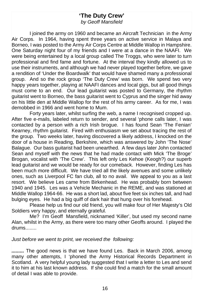#### **'The Duty Crew'** *by Geoff Mansfield*

 I joined the army on 1960 and became an Aircraft Technician in the Army Air Corps. In 1964, having spent three years on active service in Malaya and Borneo, I was posted to the Army Air Corps Centre at Middle Wallop in Hampshire. One Saturday night four of my friends and I were at a dance in the NAAFI. We were being entertained by a local group called The Troggs, who were later to turn professional and find fame and fortune. At the interval they kindly allowed us to use their instruments, and although we had never played together before, we gave a rendition of 'Under the Boardwalk' that would have shamed many a professional group. And so the rock group 'The Duty Crew' was born. We spend two very happy years together, playing at NAAFI dances and local gigs, but all good things must come to an end. Our lead quitarist was posted to Germany, the rhythm guitarist went to Borneo, the bass guitarist went to Cyprus and the singer hid away on his little den at Middle Wallop for the rest of his army career. As for me, I was demobbed in 1966 and went home to Mum.

 Forty years later, whilst surfing the web, a name I recognised cropped up. After five e-mails, labeled return to sender, and several 'phone calls later, I was contacted by a person with a rich Irish brogue. I has found Sean 'The Fenian' Kearney, rhythm guitarist. Fired with enthusiasm we set about tracing the rest of the group. Two weeks later, having discovered a likely address, I knocked on the door of a house in Reading, Berkshire, which was answered by John 'The Nose' Balague. Our bass guitarist had been unearthed. A few days later John contacted Sean and myself with the news that he had made contact with Mick 'The Broge' Brogan, vocalist with 'The Crew'. This left only Les Kehoe (Keogh?) our superb lead guitarist and we would be ready for our comeback. However, finding Les has been much more difficult. We have tried all the likely avenues and some unlikely ones, such as Liverpool FC fan club, all to no avail. We appeal to you as a last resort. We believe Les came from Birkenhead. He was probably born between 1940 and 1945. Les was a Vehicle Mechanic in the REME, and was stationed at Middle Wallop 1964-66. He was a short lad, about five feet six inches tall, and had bulging eyes. He had a big quiff of dark hair that hung over his forehead.

 Please help us find our old friend, you will make four of Her Majesty's Old Soldiers very happy, and eternally grateful.

 Me? I'm Geoff Mansfield, nicknamed 'Killer', but used my second name Alan, whilst in the Army, as there were too many other Geoffs around. I played the drums........

*Just before we went to print, we received the following:*

*.........* The good news is that we have found Les. Back in March 2006, among many other attempts, I 'phoned the Army Historical Records Department in Scotland. A very helpful young lady suggested that I write a letter to Les and send it to him at his last known address. If she could find a match for the small amount of detail I was able to provide.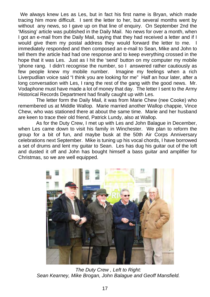We always knew Les as Les, but in fact his first name is Bryan, which made tracing him more difficult. I sent the letter to her, but several months went by without any news, so I gave up on that line of enguiry. On September 2nd the 'Missing' article was published in the Daily Mail. No news for over a month, when I got an e-mail from the Daily Mail, saying that they had received a letter and if I would give them my postal address they would forward the letter to me. I immediately responded and then composed an e-mail to Sean, Mike and John to tell them the article had had one response and to keep everything crossed in the hope that it was Les. Just as I hit the 'send' button on my computer my mobile 'phone rang. I didn't recognise the number, so I answered rather cautiously as<br>few people knew my mobile number. Imagine my feelings when a rich few people knew my mobile number. Liverpudlian voice said "I think you are looking for me" Half an hour later, after a long conversation with Les, I rang the rest of the gang with the good news. Mr. Vodaphone must have made a lot of money that day. The letter I sent to the Army Historical Records Department had finally caught up with Les.

 The letter form the Daily Mail, it was from Marie Chew (nee Cooke) who remembered us at Middle Wallop. Marie married another Wallop chappie, Vince Chew, who was stationed there at about the same time. Marie and her husband are keen to trace their old friend, Patrick Lundy, also at Wallop.

As for the Duty Crew, I met up with Les and John Balague in December, when Les came down to visit his family in Winchester. We plan to reform the group for a bit of fun, and maybe busk at the 50th Air Corps Anniversary celebrations next September. Mike is tuning up his vocal chords, I have borrowed a set of drums and lent my guitar to Sean. Les has dug his guitar out of the loft and dusted it off and John has bought himself a bass guitar and amplifier for Christmas, so we are well equipped.



 *The Duty Crew , Left to Right: Sean Kearney, Mike Brogan, John Balague and Geoff Mansfield.*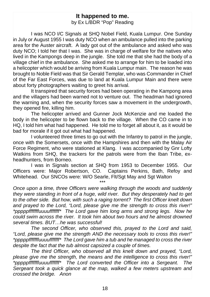#### **It happened to me.**

by Ex L/BDR "Pop" Reading

 I was NCO I/C Signals at SHQ Nobel Field, Kuala Lumpur. One Sunday in July or August 1955 I was duty NCO when an ambulance pulled into the parking area for the Auster aircraft. A lady got out of the ambulance and asked who was duty NCO; I told her that I was. She was in charge of welfare for the natives who lived in the Kampongs deep in the jungle. She told me that she had the body of a village chief in the ambulance. She asked me to arrange for him to be loaded into a helicopter which would be arriving from Kuala Lumpur main. The reason he was brought to Noble Field was that Sir Gerald Templar, who was Commander in Chief of the Far East Forces, was due to land at Kuala Lumpur Main and there were about forty photographers waiting to greet his arrival.

It transpired that security forces had been operating in the Kampong area and the villagers had been warned not to venture out. The headman had ignored the warning and, when the security forces saw a movement in the undergrowth, they opened fire, killing him.

 The helicopter arrived and Gunner Jock McKenzie and me loaded the body in the helicopter to be flown back to the village. When the CO came in to HQ, I told him what had happened. He told me to forget all about it, as it would be bad for morale if it got out what had happened.

 I volunteered three times to go out with the Infantry to patrol in the jungle, once with the Somersets, once with the Hampshires and then with the Malay Air Force Regiment, who were stationed at Klang. I was accompanied by Gnr Lofty Watkins from SHQ, the trackers for the patrols were from the Iban Tribe, exheadhunters, from Borneo.

 I was in Signals section at SHQ from 1953 to December 1955. Our Officers were: Major Robertson, CO. Captains Perkins, Bath, Refoy and Whitehead. Our SNCOs were: W/O Searle, Fit/Sgt May and Sgt Walton

\*\*\* *Once upon a time, three Officers were walking through the woods and suddenly they were standing in front of a huge, wild river. But they desperately had to get to the other side. But how, with such a raging torrent? The first Officer knelt down and prayed to the Lord, "Lord, please give me the strength to cross this river!" \*pppppfffffffuuuufffffff\* The Lord gave him long arms and strong legs. Now he could swim across the river. It took him about two hours and he almost drowned several times. BUT…he was successful!*

 *The second Officer, who observed this, prayed to the Lord and said, "Lord, please give me the strength AND the necessary tools to cross this river!" \*pppppfffffffuuuufffffff\* The Lord gave him a tub and he managed to cross the river despite the fact that the tub almost capsized a couple of times.*

 *The third Officer, who observed all this knelt down and prayed, "Lord, please give me the strength, the means and the intelligence to cross this river!" \*pppppfffffffuuuufffffff\* The Lord converted the Officer into a Sergeant. The Sergeant took a quick glance at the map, walked a few meters upstream and crossed the bridge. Anon*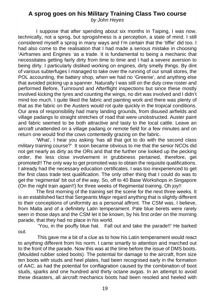## **A sprog goes on his Military Training Class Two course**

*by John Heyes*

I suppose that after spending about six months in Taiping, I was now, technically, not a sprog, but sprogishness is a perception, a state of mind. I still considered myself a sprog in many ways and I'm certain that the 'tiffie' did too. I had also come to the realisation that I had made a serious mistake in choosing 'Airframes and Engines 'as a trade. It is fundamental to being a mechanic that necessitates getting fairly dirty from time to time and I had a severe aversion to being dirty. I particularly disliked working on engines, dirty smelly things. By dint of various subterfuges I managed to take over the running of our small stores, the POL accounting, the battery shop, when we had no 'Greenie', and anything else that avoided picking up a spanner. Naturally I was still on the duty crew roster and performed Before, Turnround and Afterflight inspections but since these mostly involved kicking the tyres and counting the wings, no dirt was involved and I didn't mind too much. I quite liked the fabric and painting work and there was plenty of that as the fabric on the Austers would rot quite quickly in the tropical conditions. Our area of responsibility had many landing grounds, from disused airfields and village padangs to straight stretches of road that were unobstructed. Auster paint and fabric seemed to be both attractive and tasty to the local cattle. Leave an aircraft unattended on a village padang or remote field for a few minutes and on return one would find the cows contentedly grazing on the fabric.

'What', I hear you asking 'has all that got to do with the second class military training course?' It soon became obvious to me that the senior NCOs did not get nearly as dirty as the ORs and that the further one looked up the pecking order, the less close involvement in grubbiness pertained, therefore, get promoted!! The only way to get promoted was to obtain the requisite qualifications. I already had the necessary education certificates. I was too inexperienced to get the first class trade test qualification. The only other thing that I could do was to get the 'regimental' bit out of the way. So, off to 40 Base Workshops in Singapore (On the night train again!!) for three weeks of Regimental training. Oh joy!!

The first morning of the training set the scene for the next three weeks. It is an established fact that Sergeants Major regard anything that is slightly different to their conceptions of uniformity as a personal affront. The CSM was, I believe, from Malta and of a definitely Latin temperament. Pale blue berets were rarely seen in those days and the CSM let it be known, by his first order on the morning parade, that they had no place in his world.

 'You, in the pouffy blue hat. Fall out and take the parade!!' He barked out.

 This gave me a bit of a clue as to how his Latin temperament would react to anything different from his norm. I came smartly to attention and marched out to the front of the parade. Now this was at the time before the issue of DMS boots. (Moulded rubber soled boots). The potential for damage to the aircraft, from size ten boots with studs and heel plates, had been recognised early in the formation of AAC, as had the potential for conflagration caused by the combination of boot studs, sparks and one hundred and thirty octane avgas. In an attempt to avoid these disasters, all aircraft mechanics boots had been resoled and heeled with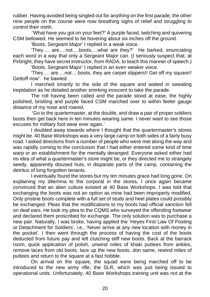rubber. Having avoided being singled out for anything on the first parade, the other nine people on the course were now breathing sighs of relief and struggling to control their mirth.

 'What have you got on your feet?**'** A purple faced, twitching and quivering CSM bellowed. He seemed to be hovering about six inches off the ground.

'Boots, Sergeant Major' I replied in a weak voice.

 'They…. are….not….boots,…what are they?' He barked, enunciating each word in a way that only a Sergeant Major can. (I seriously suspect that, at Pirbright, they have secret instructor, from RADA, to teach this manner of speech.)

'Boots, Sergeant Major' I replied in an even weaker voice.

'They…. are….not….boots, they are carpet slippers!! Get off my square!! Gettoff now'. he bawled.

 I marched smartly to the side of the square and waited in sweating trepidation as he detailed another smirking innocent to take the parade.

The roll having been called and the parade stood at ease, the highly polished, bristling and purple faced CSM marched over to within feeler gauge distance of my nose and roared,

'Go to the quartermaster, at the double, and draw a pair of proper soldiers boots then get back here in ten minutes wearing same. I never want to see those excuses for military foot wear ever again.'

I doubled away towards where I thought that the quartermaster's stores might be. 40 Base Workshops was a very large camp on both sides of a fairly busy road. I asked directions from a number of people who were met along the way and was rapidly coming to the conclusion that I had either entered some kind of time warp or an establishment for the mentally deranged. Everyone asked either had no idea of what a quartermaster's store might be, or they directed me to strangely seedy, apparently disused huts, in disparate parts of the camp, containing the detritus of long forgotten tenants.

I eventually found the stores but my ten minutes grace had long gone. On explaining my dilemma to the corporal in the stores, I once again became convinced that an alien culture existed at 40 Base Workshops. I was told that exchanging the boots was not an option as mine had been improperly modified. Only pristine boots complete with a full set of studs and heel plates could possibly be exchanged. Pleas that the modifications to my boots had official sanction fell on deaf ears. He took my plea to the CQMS who surveyed the offending footwear and declared them proscribed for exchange. The only solution was to purchase a new pair. Naturally, I was broke, having applied the 'Heyes First Law Of Posting or Detachment for Soldiers', i.e., 'Never arrive at any new location with money in the pocket'. I then went through the process of having the cost of the boots deducted from future pay and left clutching stiff new boots. Back at the barrack room, quick application of polish, unwind miles of khaki puttees from ankles, remove laces from old boots, lace up the new boots, don same, rewind miles of puttees and return to the square at a fast hobble.

On arrival on the square, the squad were being marched off to be introduced to the new army rifle, the SLR, which was just being issued to operational units. Unfortunately, 40 Base Workshops training unit was not at the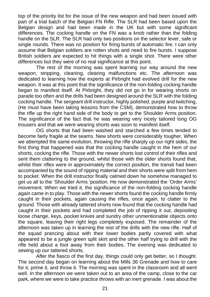top of the priority list for the issue of the new weapon and had been issued with part of a trial batch of the Belgian FN Rifle. The SLR had been based upon the Belgian design and had been made in the UK but with some significant differences. The cocking handle on the FN was a knob rather than the folding handle on the SLR. The SLR had only two positions on the selector lever, safe or single rounds. There was no position for firing bursts of automatic fire. I can only assume that Belgian soldiers are rotten shots and need to fire bursts. I suppose British soldiers are expected to hit things with a single shot. There were other differences but they were of no real significance at this point.

The rest of the morning was spent learning our way around the new weapon, stripping, cleaning, clearing malfunctions etc. The afternoon was dedicated to learning how the experts at Pirbright had evolved drill for the new weapon. It was at this point that the significance of the non-folding cocking handle began to manifest itself. At Pirbright, they did not go in for wearing shorts on parade too often and the drills had been designed around the SLR with the folding cocking handle. The sergeant drill instructor, highly polished, purple and twitching, (He must have been taking lessons from the CSM), demonstrated how to throw the rifle up the right hand side of the body to get to the Shoulder Arms position. The significance of the fact that he was wearing very nicely tailored long OG trousers and that we were wearing shorts was soon to manifest itself.

OG shorts that had been washed and starched a few times tended to become fairly fragile at the seams. New shorts were considerably tougher. When we attempted the same evolution, throwing the rifle sharply up our right sides, the first thing that happened was that the cocking handle caught in the hem of our shorts, cocking the rifle. Those with the newer shorts lost control of their rifles and sent them clattering to the ground, whilst those with the older shorts found that, whilst their rifles were in approximately the correct position, the transit had been accompanied by the sound of ripping material and their shorts were split from hem to pocket. When the drill instructor finally calmed down he somehow managed to get us all to the 'Shoulder Arms 'position. He now demonstrated the 'Order Arms' movement. When we tried it, the significance of the non-folding cocking handle again came in to play. Those with the newer shorts found the cocking handle firmly caught in their pockets, again causing the rifles, once again, to clatter to the ground. Those with already tattered shorts now found that the cocking handle had caught in their pockets and had completed the job of ripping it out, depositing loose change, keys, pocket knives and sundry other unmentionable objects onto the square, leaving their right legs completely exposed. The remainder of the afternoon was taken up in learning the rest of the drills with the new rifle. Half of the squad prancing about with their lower bodies partly covered with what appeared to be a jungle green split skirt and the other half trying to drill with the rifle held about a foot away from their bodies. The evening was dedicated to sewing up our tattered shorts.

After the fiasco of the first day, things could only get better, so I thought. The second day began on learning about the Mills 36 Grenade and how to care for it, prime it, and throw it. The morning was spent in the classroom and all went well. In the afternoon we were taken out to an area of the camp, close to the car park, where we were to take practice throws with an inert grenade. I was about the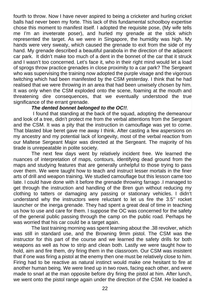fourth to throw. Now I have never aspired to being a cricketer and hurling cricket balls had never been my forte. This lack of this fundamental schoolboy expertise chose this moment to manifest itself. I adopted the requisite pose, (My wife tells me I'm an inveterate poser), and hurled my grenade at the stick which represented the target. As we were in Singapore, the humidity was high. My hands were very sweaty, which caused the grenade to exit from the side of my hand. My grenade described a beautiful parabola in the direction of the adjacent car park. It didn't make too much of a dent in the bonnet of the car that it struck and I wasn't too concerned. Let's face it, who in their right mind would let a load of sprogs throw practice grenades in close proximity to a car park? The Sergeant who was supervising the training now adopted the purple visage and the vigorous twitching which had been manifested by the CSM yesterday. I think that he had realised that we were throwing in an area that had been unwisely chosen by him. It was only when the CSM exploded onto the scene, foaming at the mouth and threatening dire consequences, that we eventually understood the true significance of the errant grenade.

#### *The dented bonnet belonged to the OC!!.*

I found that standing at the back of the squad, adopting the demeanour and look of a tree, didn't protect me from the verbal attentions from the Sergeant and the CSM. It was a pity that the instruction in camouflage was yet to come. That blasted blue beret gave me away I think. After casting a few aspersions on my ancestry and my potential lack of longevity, most of the verbal reaction from our Maltese Sergeant Major was directed at the Sergeant. The majority of his tirade is unrepeatable in polite society.

The next few days went by relatively incident free. We learned the nuances of interpretation of maps, contours, identifying dead ground from the maps and studying features that are generally unhelpful to those trying to pass over them. We were taught how to teach and instruct lesser mortals in the finer arts of drill and weapon training. We studied camouflage but this lesson came too late. I could have done with it before the grenade throwing farrago .I managed to get through the instruction and handling of the Bren gun without reducing my clothing to tatters or damaging any passing or stationary vehicles. I didn't understand why the instructors were reluctant to let us fire the 3.5'' rocket launcher or the inerga grenade. They had spent a great deal of time in teaching us how to use and care for them. I suppose the OC was concerned for the safety of the general public passing through the camp on the public road. Perhaps he was worried that his car could be a target again.

The last training morning was spent learning about the .38 revolver, which was still in standard use, and the Browning 9mm pistol. The CSM was the instructor for this part of the course and we learned the safety drills for both weapons as well as how to strip and clean both. Lastly we were taught how to hold, aim and fire them, dry firing them in the classroom. Our CSM was insistent that if one was firing a pistol at the enemy then one must be relatively close to him. Firing had to be reactive as natural instinct would make one hesitant to fire at another human being. We were lined up in two rows, facing each other, and were made to snarl at the man opposite before dry firing the pistol at him. After lunch, we went onto the pistol range again under the direction of the CSM. He loaded a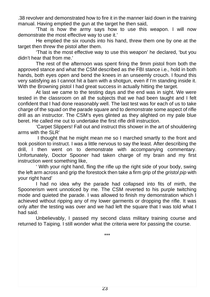.38 revolver and demonstrated how to fire it in the manner laid down in the training manual. Having emptied the gun at the target he then said,

'That is how the army says how to use this weapon. I will now demonstrate the most effective way to use it.'

He emptied the six rounds into his hand, threw them one by one at the target then threw the pistol after them.

'That is the most effective way to use this weapon' he declared, 'but you didn't hear that from me.'

The rest of the afternoon was spent firing the 9mm pistol from both the approved stance and what the CSM described as the FBI stance i.e., hold in both hands, both eyes open and bend the knees in an unseemly crouch. I found this very satisfying as I cannot hit a barn with a shotgun, even if I'm standing inside it. With the Browning pistol I had great success in actually hitting the target.

At last we came to the testing days and the end was in sight. We were tested in the classroom on all the subjects that we had been taught and I felt confident that I had done reasonably well. The last test was for each of us to take charge of the squad on the parade square and to demonstrate some aspect of rifle drill as an instructor. The CSM's eyes glinted as they alighted on my pale blue beret. He called me out to undertake the first rifle drill instruction.

'Carpet Slippers! Fall out and instruct this shower in the art of shouldering arms with the SLR'

 I thought that he might mean me so I marched smartly to the front and took position to instruct. I was a little nervous to say the least. After describing the drill, I then went on to demonstrate with accompanying commentary. Unfortunately, Doctor Spooner had taken charge of my brain and my first instruction went something like,

' With your right hand, fling the rifle up the right side of your body, swing the left arm across and grip the forestock then take a firm grip of the *gristol pip* with your right hand'

I had no idea why the parade had collapsed into fits of mirth, the Spoonerism went unnoticed by me. The CSM reverted to his purple twitching mode and quieted the parade. I was allowed to finish my demonstration which I achieved without ripping any of my lower garments or dropping the rifle. It was only after the testing was over and we had left the square that I was told what I had said.

Unbelievably, I passed my second class military training course and returned to Taiping. I still wonder what the criteria were for passing the course.

\*\*\*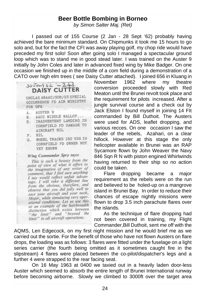#### **Beer Bottle Bombing in Borneo**

*by Simon Salter Maj. (Ret)*

 I passed out of 155 Course (2 Jan - 28 Sept '62) probably having achieved the bare minimum standard. On Chipmunks it took me 15 hours to go solo and, but for the fact the CFI was away playing golf, my chop ride would have preceded my first solo! Soon after going solo I managed a spectacular ground loop which was to stand me in good stead later. I was trained on the Auster 9 initially by John Coles and later in advanced fixed wing by Mike Badger. On one occasion we finished up in the middle of a com field during a demonstration of a CATO over high elm trees (see Daisy Cutter attached). I joined 656 in Kluang in<br>November 1962 where my theatre

 $30500y62 = 243$ **DAISY CUTTER** UNCLAS ABAAC/SOR/23 SPECIAL OCCURRENCE PD AIR MINISTRY FOR DFS A. AUSTER 9 B. AACC MIDDLE WALLOP... E. INADVERTENT LANDING IN CORNFIELD PD DAMAGE TO ATRCRAFT NIL F. NIL G. WHEEL TRACKS 150 YDS IN CORNFIELD PD OWNER NOT YET KNOWN Wing Commander Spry says: This is such a beauty from the point of view of what it offers to the imagination of any writer of comment, that I feel sure anything I say would reflect unfair advantage. I will take a different line

from the obvious, therefore, and observe that you did jolly well to save your aircraft and your neck, Major, while simulating very operational conditions. Let us use this as an example of the hairbreadth distinction which exists between "the limit" and "beyond the limit" in all aircraft operations.

November 1962 where my theatre conversion proceeded slowly with Red Meaton until the Brunei revolt took place and the requirement for pilots increased. After a jungle survival course and a check out by Jack Elston I found myself in joining 14 FIt commanded by Bill Duthoit. The Austers were used for ADS, leaflet dropping, and various recces. On one occasion I saw the leader of the rebels, Azahari, on a clear hillock. However at this stage the only helicopter available in Brunei was an RAP Sycamore flown by John Weaver the Navy 846 Sqn R N with piston engined Whirlwinds having returned to their ship so no action could be taken.

 Flare dropping became a major requirement as the rebels were on the run and believed to be holed-up on a mangrove island in Brunei Bay. In order to reduce their chances of escape nightly missions were flown to drop 3.5 inch parachute flares over the islands.

 As the technique of flare dropping had not been covered in training, my Flight Commander,Bill Duthoit, sent me off with the

AQMS, Len Edgecock, on my first night mission and he would brief me as we carried out the sortie. For the benefit of those who have not flown Austers on flare drops, the loading was as follows: 3 flares were fitted under the fuselage on a light series carrier (the fourth being omitted as it sometimes caught fire in the slipstream) 4 flares were placed between the co-pilot/dispatcher's legs and a further 4 were strapped to the rear facing seat.

 On 16 May 1963 at 0400 we taxied out in a heavily laden door-less Auster which seemed to absorb the entire length of Brunei International runway before becoming airborne. Slowly we climbed to 3000ft over the target area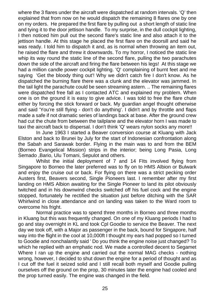where the 3 flares under the aircraft were dispatched at random intervals. 'Q' then explained that from now on he would dispatch the remaining 8 flares one by one on my orders. He prepared the first flare by pulling out a short length of static line and tying it to the door jettison handle. To my surprise, in the dull cockpit lighting, I then noticed him pull out the second flare's static line and also attach it to the jettison handle. At this stage he placed the first flare on the doorsill and said he was ready. I told him to dispatch it and, as is normal when throwing an item out, he raised the flare and threw it downwards. To my horror, I noticed the static line whip its way round the static line of the second flare, pulling the two parachutes down the side of the aircraft and firing the flare between his legs! At this stage we had a million candle power cockpit lighting. 'Q' complaining of burnt feet and me saying 'Get the bloody thing out'! Why we didn't catch fire I don't know. As he dispatched the burning flare there was a clunk and the elevator was jammed. In the tail light the parachute could be seen streaming astern. .. The remaining flares were dispatched free fall as I contacted ATC and explained my problem. When one is on the ground it is easy to give advice. I was told to free the flare chute either by forcing the stick forward or back. My guardian angel thought otherwise and said 'You're still flying - don't do anything'. I didn't and by throttle and flaps made a safe if not dramatic series of landings back at base. After the ground crew had cut the chute from between the tailplane and the elevator horn I was made to taxi the aircraft back to dispersal. I don't think 'Q' wears nylon socks any more!!

 In June 1963 I started a Beaver conversion course at Kluang with Jack Elston and back to Brunei by July for the start of Indonesian confrontation along the Sabah and Sarawak border. Flying in the main was to and from the BEM (Borneo Evangelical Mission) strips in the interior; being Long Pasia, Long Semado ,Bario, Ulu Tomani, Sepulot and others.

 Whilst the initial deployment of 7 and 14 FIts involved flying from Singapore to Borneo the later preferred was to fly on to HMS Albion or Bulwark and enjoy the cruise out or back. For flying on there was a strict pecking order Austers first, Beavers second, Single Pioneers last. I remember after my first landing on HMS Albion awaiting for the Single Pioneer to land its pilot obviously twitched and in his downwind checks switched off his fuel cock and the engine stopped, fortunately he rectified the situation just before ditching with the SAR Whirlwind in close attendance and on landing was taken to the Ward room to overcome his fright.

 Normal practice was to spend three months in Borneo and three months in Kluang but this was frequently changed. On one of my Kluang periods I had to go and stay overnight in KL and took Cpl Goodie to service the Beaver. The next day we took off, with a Major as passenger in the back, bound for Singapore, half way into the flight in the cool at 10,000ft I thought my ears had popped so I turned to Goodie and nonchalantly said ' Do you think the engine noise just changed? To which he replied with an emphatic nod. We made a controlled decent to Segamet Where I ran up the engine and carried out the normal MAG checks - nothing wrong, however, I decided to shut down the engine for a period of thought and as I cut off the fuel it seized solid and I still recall both myself and Goodie pulling ourselves off the ground on the prop, 30 minutes later the engine had cooled and the prop turned easily. The engine was changed in the field.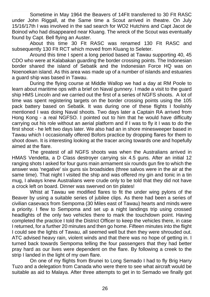Sometime in May 1964 the Beavers of 14FIt transferred to 30 FIt RASC under John Riggall, at the Same time a Scout arrived in theatre. On July 15/16/17th I was involved in the sad search for WO2 Hutchins and Capt Jacot de Boinod who had disappeared near Kluang. The wreck of the Scout was eventually found by Capt. Bell flying an Auster.

 About this time 30 FIt RASC was renamed 130 FIt RASC and subsequently 130 FIt RCT which moved from Kluang to Seleter.

 Around this time I spent a long period based at Tawau supporting 40, 45 CDO who were at Kalabakan guarding the border crossing points. The Indonesian border shared the island of Sebatik and the Indonesian Force HQ was on Noenoekan island. As this area was made up of a number of islands and estuaries a guard ship was based in Tawau.

 During the flying course at Middle Wallop we had a day at RM Poole to learn about maritime ops with a brief on Naval gunnery. I made a visit to the guard ship HMS Lincoln and we carried out the first of a series of NGFS shoots. A lot of time was spent registering targets on the border crossing points using the 105 pack battery based on Sebatik. It was during one of these flights I foolishly mentioned I was doing Naval shoots. Two days later a Captain RA arrived from Hong Kong - a real NGFSO. I pointed out to him that he would have difficulty carrying out his role without an aerial platform and if I was to fly it I was to do the first shoot - he left two days later. We also had an in shore minesweeper based in Tawau which I occasionally offered Bofors practice by dropping flares for them to shoot down. It is interesting looking at the tracer arcing towards one and hopefully aimed at the flare.

 The greatest of all NGFS shoots was when the Australians arrived in HMAS Vendetta, a D Class destroyer carrying six 4.5 guns. After an initial 12 ranging shots I asked for four guns main armament six rounds gun fire to which the answer was 'negative' six guns six broadsides (three salvos were in the air at the same time). That night I visited the ship and was offered my gin and tonic in a tin mug, I always knew Australians were crude only to be told that they did not have a crock left on board. Dinner was swerved on tin plates!

 Whist at Tawau we modified flares to fit the under wing pylons of the Beaver by using a suitable series of jubilee clips. As there had been a series of civilian casevacs from Sempoma (30 Miles east of Tawau) hearts and minds were a priority. I flew to Sempoma and set up a night landings trip using crossed headlights of the only two vehicles there to mark the touchdown point. Having completed the practice I told the District Officer to keep the vehicles there, in case I returned, for a further 20 minutes and then go home. Fifteen minutes into the flight I could see the lights of Tawau, all seemed well but then they were shrouded out. ATC advised heavy rain, violent winds and that there was no hope of getting in. I turned back towards Sempoma telling the four passengers that they had better pray hard as our lives were dependent on the flare. By following a creek to the strip I landed in the light of my own flare.

 On one of my flights from Brunei to Long Semado I had to fly Brig Harry Tuzo and a delegation from Canada who were there to see what aircraft would be suitable as aid to Malaya. After three attempts to get in to Semado we finally got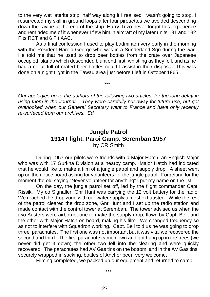to the very wet laterite strip, half way along it I realised I wasn't going to stop, I resurrected my skill in ground loops,after four pirouettes we avoided descending down the ravine at the end of the strip. Harry Tuzo never forgot this experience and reminded me of it whenever I flew him in aircraft of my later units 131 and 132 FIts RCT and 6 FIt AAC.

 As a final confession I used to play badminton very early in the morning with the Resident Harold George who was in a Sunderland Sqn during the war. He told me that he used to drop beer bottles from the crate over Japanese occupied islands which descended blunt end first, whistling as they fell, and as he had a cellar full of crated beer bottles could I assist in their disposal. This was done on a night flight in the Tawau area just before I left in October 1965.

\*\*\*

*Our apologies go to the authors of the following two articles, for the long delay in using them in the Journal. They were carefully put away for future use, but got overlooked when our General Secretary went to France and have only recently re-surfaced from our archives. Ed*

#### **Jungle Patrol 1914 Flight. Paroi Camp. Seremban 1957** by CR Smith

During 1957 our pilots were friends with a Major Hatch, an English Major who was with 17 Gurkha Division at a nearby camp. Major Hatch had indicated that he would like to make a film of a jungle patrol and supply drop. A sheet went up on the notice board asking for volunteers for the jungle patrol. Forgetting for the moment the old saying "Never volunteer for anything" I put my name on the list.

 On the day, the jungle patrol set off, led by the flight commander Capt. Rissik. My co Signaller, Gnr Hunt was carrying the 12 volt battery for the radio. We reached the drop zone with our water supply almost exhausted. While the rest of the patrol cleared the drop zone, Gnr Hunt and I set up the radio station and made contact with the control tower at Seremban. The tower advised us when the two Austers were airborne, one to make the supply drop, flown by Capt. Bell, and the other with Major Hatch on board, making his film. We changed frequency so as not to interfere with Squadron working. Capt. Bell told us he was going to drop three parachutes. The first one was not important but it was vital we recovered the second and third. The first parachute came down and got hung up in the trees (we never did get it down) the other two fell into the clearing and were quickly recovered. The parachutes had AV Gas tins on the bottom, and in the AV Gas tins, securely wrapped in sacking, bottles of Anchor beer, very welcome.

Filming completed, we packed up our equipment and returned to camp.

\*\*\*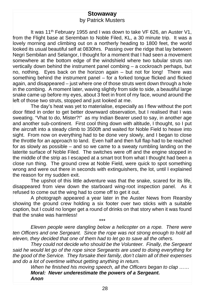#### **Stowaway** by Patrick Musters

It was 11<sup>th</sup> February 1955 and I was down to take VF 626, an Auster V1, from the Flight base at Seremban to Noble Filed, KL, a 30 minute trip. It was a lovely morning and climbing out on a northerly heading to 1800 feet, the world looked its usual beautiful self at 0830hrs. Passing over the ridge that lay between Negri Sembilan and Selangor, I thought for a moment that I had seen a movement somewhere at the bottom edge of the windshield where two tubular struts ran vertically down behind the instrument panel combing – a cockroach perhaps, but no, nothing. Eyes back on the horizon again – but not for long! There *was* something behind the instrument panel – for a forked tongue flicked and flicked again, and disappeared – just where one of those struts went down through a hole in the combing. A moment later, waving slightly from side to side, a beautiful large snake came up before my eyes, about 3 feet in front of my face, wound around the left of those two struts, stopped and just looked at me.

 The day's heat was yet to materialise, especially as I flew without the port door fitted in order to get better downward observation, but I realised that I was sweating. "Vhat to do, Mister?!" as my Indian Bearer used to say, in another age and another sub-continent. First cool thing down with altitude, I thought, so I put the aircraft into a steady climb to 3500ft and waited for Noble Field to heave into sight. From now on everything had to be done very slowly, and I began to close the throttle for an approach to land. Even half and then full flap had to be reached for as slowly as possible – and so we came to a sweaty rumbling landing on the laterite surface of Noble Filed. The switches were off and the engine stopped in the middle of the strip as I escaped at a smart trot from what I thought had been a close run thing. The ground crew at Noble Field, were quick to spot something wrong and were out there in seconds with extinguishers, the lot, until I explained the reason for my sudden exit.

 The upshot of this little adventure was that the snake, scared for its life, disappeared from view down the starboard wing-root inspection panel. As it refused to come out the wing had to come off to get it out.

 A photograph appeared a year later in the Auster News from Rearsby showing the ground crew holding a six footer over two sticks with a suitable caption, but I could no longer get a round of drinks on that story when it was found that the snake was harmless!

*Eleven people were dangling below a helicopter on a rope. There were ten Officers and one Sergeant. Since the rope was not strong enough to hold all eleven, they decided that one of them had to let go to save all the others.*

\*\*\*

*They could not decide who should be the Volunteer. Finally, the Sergeant said he would let go of the rope since Sergeants are used to doing everything for the good of the Service. They forsake their family, don't claim all of their expenses and do a lot of overtime without getting anything in return.*

*When he finished his moving speech, all the Officers began to clap …… Moral: Never underestimate the powers of a Sergeant. Anon*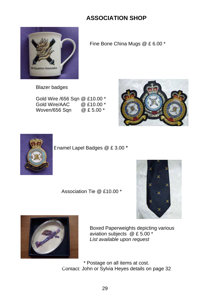## **ASSOCIATION SHOP**



Fine Bone China Mugs @ £ 6.00 \*

Blazer badges

Gold Wire /656 Sqn @ £10.00 \* Gold Wire/AAC @ £10.00 \* Woven/656 Sqn





Enamel Lapel Badges @ £ 3.00 \*

Association Tie @ £10.00 \*





Boxed Paperweights depicting various aviation subjects @ £ 5.00 \* *List available upon request*

\* Postage on all items at cost. Contact: John or Sylvia Heyes details on page 32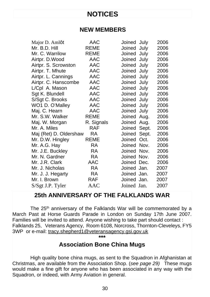## **NOTICES**

#### **NEW MEMBERS**

| Major D. Amlôt         | AAC         | Joined July  |       | 2006 |
|------------------------|-------------|--------------|-------|------|
| Mr. B.D. Hill          | <b>REME</b> | Joined July  |       | 2006 |
| Mr. C. Warrilow        | REME        | Joined July  |       | 2006 |
| Airtpr. D. Wood        | <b>AAC</b>  | Joined July  |       | 2006 |
| Airtpr. S. Scrowston   | AAC         | Joined July  |       | 2006 |
| Airtpr. T. Mhute       | AAC         | Joined July  |       | 2006 |
| Airtpr. L. Cannings    | AAC         | Joined       | July  | 2006 |
| Airtpr. C. Hanscombe   | AAC         | Joined       | July  | 2006 |
| L/Cpl A. Mason         | AAC         | Joined       | July  | 2006 |
| Sgt K. Blundell        | AAC         | Joined July  |       | 2006 |
| S/Sgt C. Brooks        | AAC         | Joined July  |       | 2006 |
| WO1 D. O'Malley        | AAC         | Joined       | July  | 2006 |
| Maj. C. Hearn          | AAC         | Joined       | July  | 2006 |
| Mr. S.W. Walker        | <b>REME</b> | Joined       | Aug.  | 2006 |
| Maj. W. Morgan         | R. Signals  | Joined       | Aug.  | 2006 |
| Mr. A. Miles           | <b>RAF</b>  | Joined       | Sept. | 2006 |
| Maj (Ret) D. Oldershaw | <b>RA</b>   | Joined Sept. |       | 2006 |
| Mr. D.W. Hingley       | <b>REME</b> | Joined Oct.  |       | 2006 |
| Mr. A.G. Hay           | RA          | Joined Nov.  |       | 2006 |
| Mr. J.E. Buckley       | RA          | Joined Nov.  |       | 2006 |
| Mr. N. Gardner         | RA          | Joined Nov.  |       | 2006 |
| Mr. J.R. Clark         | AAC         | Joined Dec.  |       | 2006 |
| Mr. J. Nicholas        | RA          | Joined Jan.  |       | 2007 |
| Mr. J. J. Hegarty      | RA          | Joined Jan.  |       | 2007 |
| Mr. I. Brown           | <b>RAF</b>  | Joined Jan.  |       | 2007 |
| S/Sgt J.P. Tyler       | AAC         | Joined Jan.  |       | 2007 |
|                        |             |              |       |      |

## **25th ANNIVERSARY OF THE FALKLANDS WAR**

The 25<sup>th</sup> anniversary of the Falklands War will be commemorated by a March Past at Horse Guards Parade in London on Sunday 17th June 2007. Families will be invited to attend. Anyone wishing to take part should contact : Falklands 25, Veterans Agency, Room 6108, Norcross, Thornton-Cleveleys, FY5 3WP or e-mail: tracy.shepherd1@veteransagency.gsi.gov.uk

### **\*\*\* Association Bone China Mugs**

 High quality bone china mugs, as sent to the Squadron in Afghanistan at Christmas, are available from the Association Shop. (*see page 29)* These mugs would make a fine gift for anyone who has been associated in any way with the Squadron, or indeed, with Army Aviation in general.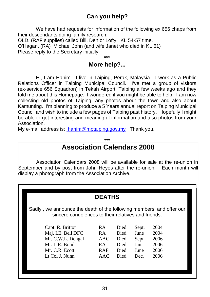## **Can you help?**

We have had requests for information of the following ex 656 chaps from their descendants doing family research:

OLD. (RAF supplies) called Bill, Den or Lofty. KL 54-57 time. O'Hagan. (RA) Michael John (and wife Janet who died in KL 61) Please reply to the Secretary initially.

#### \*\*\* **More help?...**

 Hi, I am Hanim. I live in Taiping, Perak, Malaysia. I work as a Public Relations Officer in Taiping Municipal Council. I've met a group of visitors (ex-service 656 Squadron) in Tekah Airport, Taiping a few weeks ago and they told me about this Homepage. I wondered if you might be able to help. I am now collecting old photos of Taiping, any photos about the town and also about Kamunting. I'm planning to produce a 5 Years annual report on Taiping Municipal Council and wish to include a few pages of Taiping past history. Hopefully I might be able to get interesting and meaningful information and also photos from your Association.

My e-mail address is: hanim@mptaiping.gov.my Thank you.

#### \*\*\* **Association Calendars 2008**

Association Calendars 2008 will be available for sale at the re-union in September and by post from John Heyes after the re-union. Each month will display a photograph from the Association Archive.

#### **DEATHS**

Sadly , we announce the death of the following members and offer our sincere condolences to their relatives and friends.

| Capt. R. Britton   | RA.        | Died | Sept. | 2004 |
|--------------------|------------|------|-------|------|
| Maj. I.E. Bell DFC | RA.        | Died | June  | 2004 |
| Mr. C.W.L. Dengal  | AAC        | Died | Sept  | 2006 |
| Mr. L.R. Bond      | R A        | Died | Jan.  | 2006 |
| Mr. C.R. Ecott     | <b>RAF</b> | Died | June  | 2006 |
| Lt Col J. Nunn     | AAC.       | Died | Dec.  | 2006 |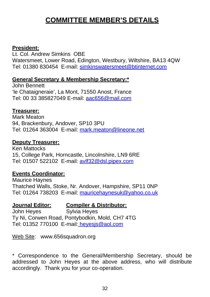## **COMMITTEE MEMBER'S DETAILS**

#### **President:**

Lt. Col. Andrew Simkins OBE Watersmeet, Lower Road, Edington, Westbury, Wiltshire, BA13 4QW Tel: 01380 830454 E-mail: simkinswatersmeet@btinternet.com

#### **General Secretary & Membership Secretary:\***

John Bennett 'le Chataigneraie', La Mont, 71550 Anost, France Tel: 00 33 385827049 E-mail: aac656@mail.com

#### **Treasurer:**

Mark Meaton 94, Brackenbury, Andover, SP10 3PU Tel: 01264 363004 E-mail: mark.meaton@lineone.net

#### **Deputy Treasurer:**

Ken Mattocks 15, College Park, Horncastle, Lincolnshire, LN9 6RE Tel: 01507 522102 E-mail: avlf32@dsl.pipex.com

#### **Events Coordinator:**

Maurice Haynes Thatched Walls, Stoke, Nr. Andover, Hampshire, SP11 0NP Tel: 01264 738203 E-mail: mauricehaynesuk@yahoo.co.uk

#### **Journal Editor: Compiler & Distributor:**

John Heyes Sylvia Heyes Ty Ni, Corwen Road, Pontybodkin, Mold, CH7 4TG Tel: 01352 770100 E-mail: heyesjs@aol.com

Web Site: www.656squadron.org

\* Correspondence to the General/Membership Secretary, should be addressed to John Heyes at the above address, who will distribute accordingly. Thank you for your co-operation.